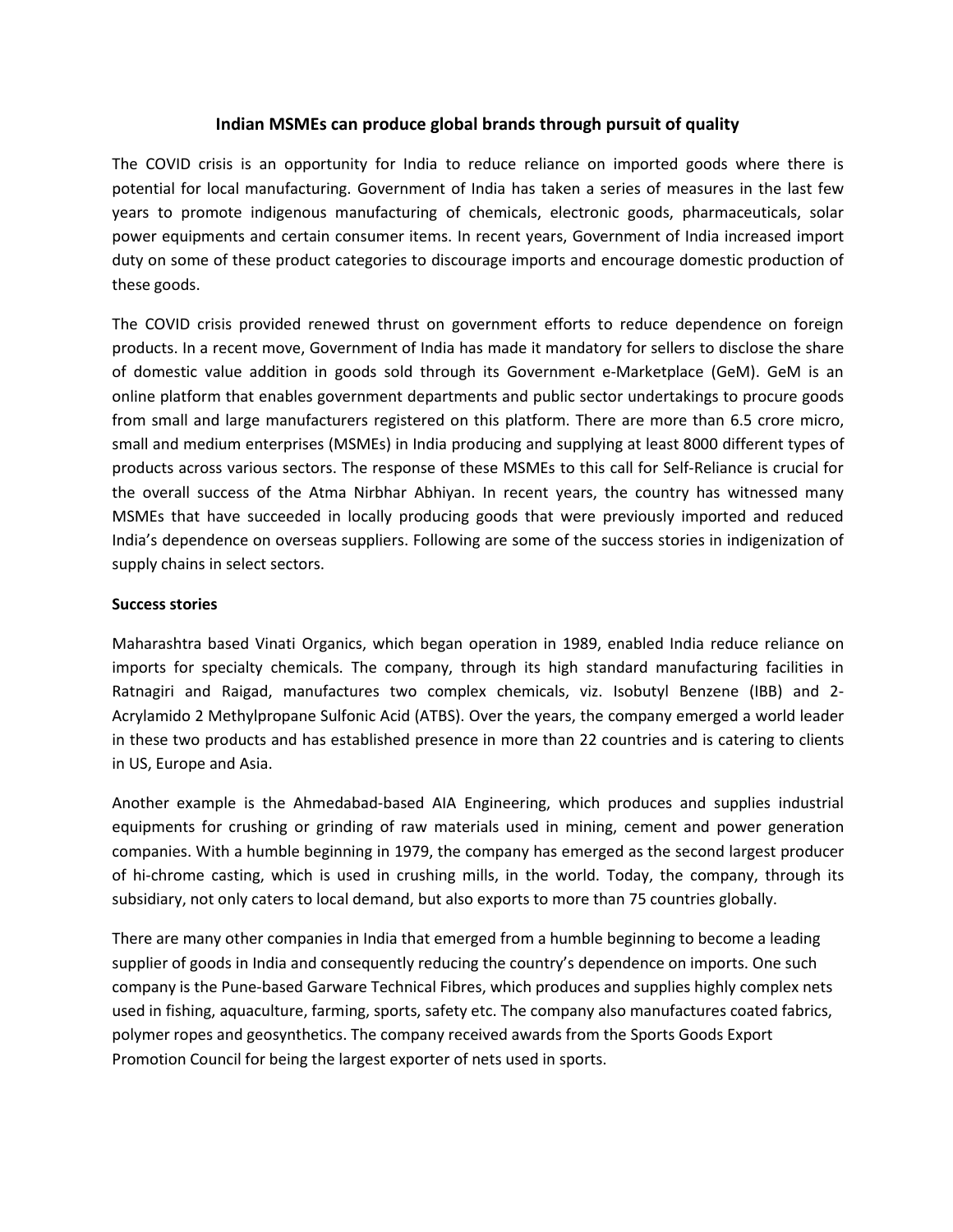# **Indian MSMEs can produce global brands through pursuit of quality**

The COVID crisis is an opportunity for India to reduce reliance on imported goods where there is potential for local manufacturing. Government of India has taken a series of measures in the last few years to promote indigenous manufacturing of chemicals, electronic goods, pharmaceuticals, solar power equipments and certain consumer items. In recent years, Government of India increased import duty on some of these product categories to discourage imports and encourage domestic production of these goods.

The COVID crisis provided renewed thrust on government efforts to reduce dependence on foreign products. In a recent move, Government of India has made it mandatory for sellers to disclose the share of domestic value addition in goods sold through its Government e-Marketplace (GeM). GeM is an online platform that enables government departments and public sector undertakings to procure goods from small and large manufacturers registered on this platform. There are more than 6.5 crore micro, small and medium enterprises (MSMEs) in India producing and supplying at least 8000 different types of products across various sectors. The response of these MSMEs to this call for Self-Reliance is crucial for the overall success of the Atma Nirbhar Abhiyan. In recent years, the country has witnessed many MSMEs that have succeeded in locally producing goods that were previously imported and reduced India's dependence on overseas suppliers. Following are some of the success stories in indigenization of supply chains in select sectors.

## **Success stories**

Maharashtra based Vinati Organics, which began operation in 1989, enabled India reduce reliance on imports for specialty chemicals. The company, through its high standard manufacturing facilities in Ratnagiri and Raigad, manufactures two complex chemicals, viz. Isobutyl Benzene (IBB) and 2- Acrylamido 2 Methylpropane Sulfonic Acid (ATBS). Over the years, the company emerged a world leader in these two products and has established presence in more than 22 countries and is catering to clients in US, Europe and Asia.

Another example is the Ahmedabad-based AIA Engineering, which produces and supplies industrial equipments for crushing or grinding of raw materials used in mining, cement and power generation companies. With a humble beginning in 1979, the company has emerged as the second largest producer of hi-chrome casting, which is used in crushing mills, in the world. Today, the company, through its subsidiary, not only caters to local demand, but also exports to more than 75 countries globally.

There are many other companies in India that emerged from a humble beginning to become a leading supplier of goods in India and consequently reducing the country's dependence on imports. One such company is the Pune-based Garware Technical Fibres, which produces and supplies highly complex nets used in fishing, aquaculture, farming, sports, safety etc. The company also manufactures coated fabrics, polymer ropes and geosynthetics. The company received awards from the Sports Goods Export Promotion Council for being the largest exporter of nets used in sports.